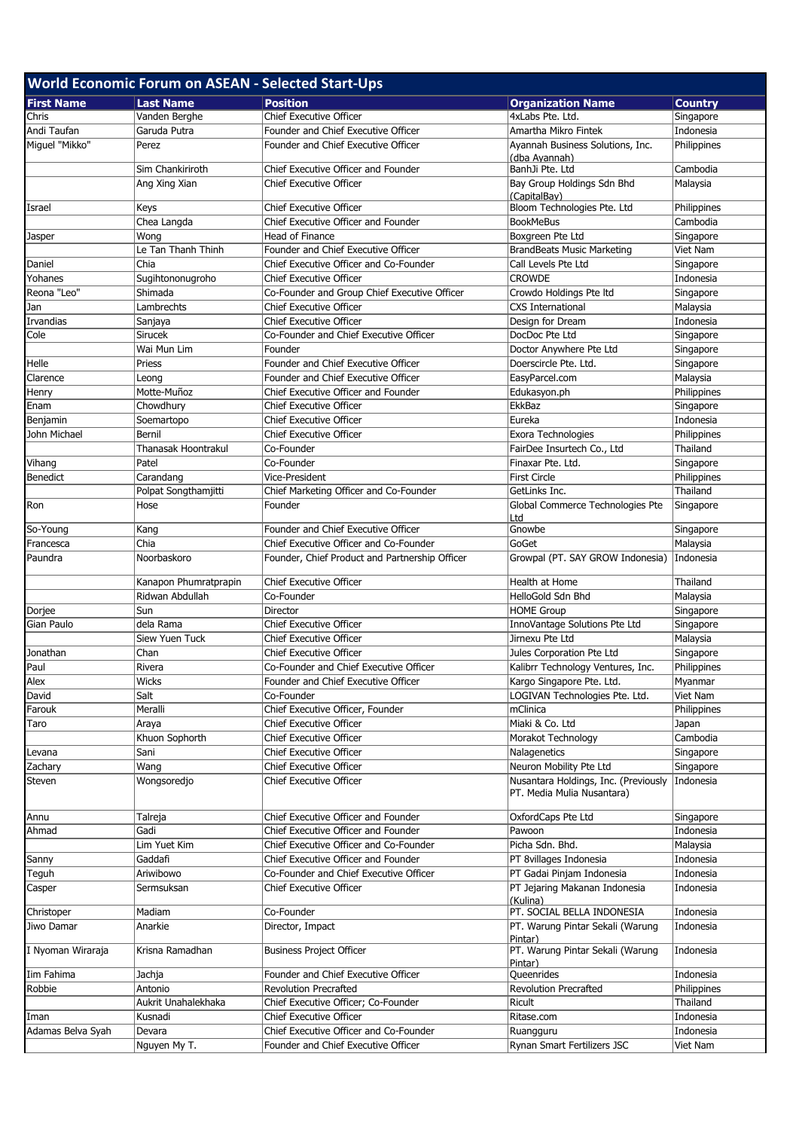| <b>World Economic Forum on ASEAN - Selected Start-Ups</b> |                       |                                                |                                                                    |                |  |  |  |
|-----------------------------------------------------------|-----------------------|------------------------------------------------|--------------------------------------------------------------------|----------------|--|--|--|
| <b>First Name</b>                                         | <b>Last Name</b>      | <b>Position</b>                                | <b>Organization Name</b>                                           | <b>Country</b> |  |  |  |
| Chris                                                     | Vanden Berghe         | Chief Executive Officer                        | 4xLabs Pte. Ltd.                                                   | Singapore      |  |  |  |
| Andi Taufan                                               | Garuda Putra          | Founder and Chief Executive Officer            | Amartha Mikro Fintek                                               | Indonesia      |  |  |  |
| Miguel "Mikko"                                            | Perez                 | Founder and Chief Executive Officer            | Ayannah Business Solutions, Inc.                                   | Philippines    |  |  |  |
|                                                           |                       |                                                | (dba Ayannah)                                                      |                |  |  |  |
|                                                           | Sim Chankiriroth      | Chief Executive Officer and Founder            | BanhJi Pte. Ltd                                                    | Cambodia       |  |  |  |
|                                                           | Ang Xing Xian         | <b>Chief Executive Officer</b>                 | Bay Group Holdings Sdn Bhd                                         | Malaysia       |  |  |  |
|                                                           |                       |                                                | (CapitalBay)                                                       |                |  |  |  |
| Israel                                                    | Keys                  | <b>Chief Executive Officer</b>                 | Bloom Technologies Pte. Ltd                                        | Philippines    |  |  |  |
|                                                           | Chea Langda           | Chief Executive Officer and Founder            | <b>BookMeBus</b>                                                   | Cambodia       |  |  |  |
| Jasper                                                    | Wong                  | Head of Finance                                | Boxgreen Pte Ltd                                                   | Singapore      |  |  |  |
|                                                           | Le Tan Thanh Thinh    | Founder and Chief Executive Officer            | <b>BrandBeats Music Marketing</b>                                  | Viet Nam       |  |  |  |
| Daniel                                                    | Chia                  | Chief Executive Officer and Co-Founder         | Call Levels Pte Ltd                                                | Singapore      |  |  |  |
| Yohanes                                                   | Sugihtononugroho      | <b>Chief Executive Officer</b>                 | <b>CROWDE</b>                                                      | Indonesia      |  |  |  |
| Reona "Leo"                                               | Shimada               | Co-Founder and Group Chief Executive Officer   | Crowdo Holdings Pte Itd                                            | Singapore      |  |  |  |
| Jan                                                       | Lambrechts            | <b>Chief Executive Officer</b>                 | <b>CXS International</b>                                           | Malaysia       |  |  |  |
| Irvandias                                                 | Sanjaya               | <b>Chief Executive Officer</b>                 | Design for Dream                                                   | Indonesia      |  |  |  |
| Cole                                                      | <b>Sirucek</b>        | Co-Founder and Chief Executive Officer         | DocDoc Pte Ltd                                                     | Singapore      |  |  |  |
|                                                           | Wai Mun Lim           | Founder                                        | Doctor Anywhere Pte Ltd                                            | Singapore      |  |  |  |
| Helle                                                     | Priess                | Founder and Chief Executive Officer            | Doerscircle Pte. Ltd.                                              | Singapore      |  |  |  |
| Clarence                                                  | Leong                 | Founder and Chief Executive Officer            | EasyParcel.com                                                     | Malaysia       |  |  |  |
| Henry                                                     | Motte-Muñoz           | Chief Executive Officer and Founder            | Edukasyon.ph                                                       | Philippines    |  |  |  |
| Enam                                                      | Chowdhury             | <b>Chief Executive Officer</b>                 | <b>EkkBaz</b>                                                      | Singapore      |  |  |  |
| Benjamin                                                  | Soemartopo            | <b>Chief Executive Officer</b>                 | Eureka                                                             | Indonesia      |  |  |  |
| John Michael                                              | Bernil                | <b>Chief Executive Officer</b>                 | Exora Technologies                                                 | Philippines    |  |  |  |
|                                                           | Thanasak Hoontrakul   | Co-Founder                                     | FairDee Insurtech Co., Ltd                                         | Thailand       |  |  |  |
| Vihang                                                    | Patel                 | Co-Founder                                     | Finaxar Pte. Ltd.                                                  | Singapore      |  |  |  |
| <b>Benedict</b>                                           | Carandang             | Vice-President                                 | <b>First Circle</b>                                                | Philippines    |  |  |  |
|                                                           | Polpat Songthamjitti  | Chief Marketing Officer and Co-Founder         | GetLinks Inc.                                                      | Thailand       |  |  |  |
| Ron                                                       | Hose                  | Founder                                        | Global Commerce Technologies Pte<br>Ltd                            | Singapore      |  |  |  |
| So-Young                                                  | Kang                  | Founder and Chief Executive Officer            | Gnowbe                                                             | Singapore      |  |  |  |
| Francesca                                                 | Chia                  | Chief Executive Officer and Co-Founder         | GoGet                                                              | Malaysia       |  |  |  |
| Paundra                                                   | Noorbaskoro           | Founder, Chief Product and Partnership Officer | Growpal (PT. SAY GROW Indonesia)                                   | Indonesia      |  |  |  |
|                                                           | Kanapon Phumratprapin | <b>Chief Executive Officer</b>                 | Health at Home                                                     | Thailand       |  |  |  |
|                                                           | Ridwan Abdullah       | Co-Founder                                     | HelloGold Sdn Bhd                                                  | Malaysia       |  |  |  |
| Dorjee                                                    | Sun                   | Director                                       | <b>HOME Group</b>                                                  | Singapore      |  |  |  |
| Gian Paulo                                                | dela Rama             | <b>Chief Executive Officer</b>                 | InnoVantage Solutions Pte Ltd                                      | Singapore      |  |  |  |
|                                                           | Siew Yuen Tuck        | <b>Chief Executive Officer</b>                 | Jirnexu Pte Ltd                                                    | Malaysia       |  |  |  |
| Jonathan                                                  | Chan                  | <b>Chief Executive Officer</b>                 | Jules Corporation Pte Ltd                                          | Singapore      |  |  |  |
| Paul                                                      | Rivera                | Co-Founder and Chief Executive Officer         | Kalibrr Technology Ventures, Inc.                                  | Philippines    |  |  |  |
| Alex                                                      | Wicks                 | Founder and Chief Executive Officer            | Kargo Singapore Pte. Ltd.                                          | Myanmar        |  |  |  |
| David                                                     | Salt                  | Co-Founder                                     | LOGIVAN Technologies Pte. Ltd.                                     | Viet Nam       |  |  |  |
| Farouk                                                    | Meralli               | Chief Executive Officer, Founder               | mClinica                                                           | Philippines    |  |  |  |
| Taro                                                      | Araya                 | <b>Chief Executive Officer</b>                 | Miaki & Co. Ltd                                                    | Japan          |  |  |  |
|                                                           | Khuon Sophorth        | <b>Chief Executive Officer</b>                 | Morakot Technology                                                 | Cambodia       |  |  |  |
| _evana                                                    | Sani                  | <b>Chief Executive Officer</b>                 | Nalagenetics                                                       | Singapore      |  |  |  |
| Zachary                                                   | Wang                  | <b>Chief Executive Officer</b>                 | Neuron Mobility Pte Ltd                                            | Singapore      |  |  |  |
| Steven                                                    | Wongsoredjo           | <b>Chief Executive Officer</b>                 | Nusantara Holdings, Inc. (Previously<br>PT. Media Mulia Nusantara) | Indonesia      |  |  |  |
| Annu                                                      | Talreja               | Chief Executive Officer and Founder            | OxfordCaps Pte Ltd                                                 | Singapore      |  |  |  |
| Ahmad                                                     | Gadi                  | Chief Executive Officer and Founder            | Pawoon                                                             | Indonesia      |  |  |  |
|                                                           | Lim Yuet Kim          | Chief Executive Officer and Co-Founder         | Picha Sdn. Bhd.                                                    | Malaysia       |  |  |  |
| Sanny                                                     | Gaddafi               | Chief Executive Officer and Founder            | PT 8villages Indonesia                                             | Indonesia      |  |  |  |
| Teguh                                                     | Ariwibowo             | Co-Founder and Chief Executive Officer         | PT Gadai Pinjam Indonesia                                          | Indonesia      |  |  |  |
| Casper                                                    | Sermsuksan            | <b>Chief Executive Officer</b>                 | PT Jejaring Makanan Indonesia                                      | Indonesia      |  |  |  |
|                                                           | Madiam                | Co-Founder                                     | (Kulina)<br>PT. SOCIAL BELLA INDONESIA                             | Indonesia      |  |  |  |
| Christoper<br>Jiwo Damar                                  | Anarkie               |                                                |                                                                    | Indonesia      |  |  |  |
|                                                           |                       | Director, Impact                               | PT. Warung Pintar Sekali (Warung<br>Pintar)                        |                |  |  |  |
| I Nyoman Wiraraja                                         | Krisna Ramadhan       | <b>Business Project Officer</b>                | PT. Warung Pintar Sekali (Warung<br>Pintar)                        | Indonesia      |  |  |  |
| Iim Fahima                                                | Jachja                | Founder and Chief Executive Officer            | Queenrides                                                         | Indonesia      |  |  |  |
| Robbie                                                    | Antonio               | <b>Revolution Precrafted</b>                   | <b>Revolution Precrafted</b>                                       | Philippines    |  |  |  |
|                                                           | Aukrit Unahalekhaka   | Chief Executive Officer; Co-Founder            | Ricult                                                             | Thailand       |  |  |  |
| Iman                                                      | Kusnadi               | <b>Chief Executive Officer</b>                 | Ritase.com                                                         | Indonesia      |  |  |  |
| Adamas Belva Syah                                         | Devara                | Chief Executive Officer and Co-Founder         | Ruangguru                                                          | Indonesia      |  |  |  |
|                                                           | Nguyen My T.          | Founder and Chief Executive Officer            | Rynan Smart Fertilizers JSC                                        | Viet Nam       |  |  |  |